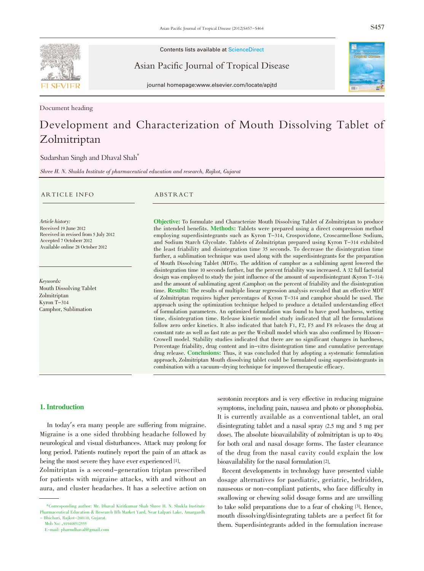

Contents lists available at ScienceDirect

Asian Pacific Journal of Tropical Disease



journal homepage:www.elsevier.com/locate/apjtd

Document heading

# Development and Characterization of Mouth Dissolving Tablet of Zolmitriptan

Sudarshan Singh and Dhaval Shah\*

Shree H. N. Shukla Institute of pharmaceutical education and research, Rajkot, Gujarat

#### ARTICLE INFO ABSTRACT

Article history: Received 19 June 2012 Received in revised from 5 July 2012 Accepted 7 Octoberr 2012 Available online 28 October 2012

Keywords: Mouth Dissolving Tablet Zolmitriptan Kyron T-314 Camphor, Sublimation

Objective: To formulate and Characterize Mouth Dissolving Tablet of Zolmitriptan to produce the intended benefits. Methods: Tablets were prepared using a direct compression method employing superdisintegrants such as Kyron T-314, Crospovidone, Croscarmellose Sodium, and Sodium Starch Glycolate. Tablets of Zolmitriptan prepared using Kyron T-314 exhibited the least friability and disintegration time 35 seconds. To decrease the disintegration time further, a sublimation technique was used along with the superdisintegrants for the preparation of Mouth Dissolving Tablet (MDTs). The addition of camphor as a subliming agent lowered the disintegration time 10 seconds further, but the percent friability was increased. A 32 full factorial design was employed to study the joint influence of the amount of superdisintegrant (Kyron T-314) and the amount of sublimating agent (Camphor) on the percent of friability and the disintegration time. Results: The results of multiple linear regression analysis revealed that an effective MDT of Zolmitriptan requires higher percentages of Kyron T-314 and camphor should be used. The approach using the optimization technique helped to produce a detailed understanding effect of formulation parameters. An optimized formulation was found to have good hardness, wetting time, disintegration time. Release kinetic model study indicated that all the formulations follow zero order kinetics. It also indicated that batch F1, F2, F5 and F8 releases the drug at constant rate as well as fast rate as per the Weibull model which was also confirmed by Hixson-Crowell model. Stability studies indicated that there are no significant changes in hardness, Percentage friability, drug content and in-vitro disintegration time and cumulative percentage drug release. Conclusions: Thus, it was concluded that by adopting a systematic formulation approach, Zolmitriptan Mouth dissolving tablet could be formulated using superdisintegrants in combination with a vacuum-drying technique for improved therapeutic efficacy.

# 1. Introduction

In today's era many people are suffering from migraine. Migraine is a one sided throbbing headache followed by neurological and visual disturbances. Attack may prolong for long period. Patients routinely report the pain of an attack as being the most severe they have ever experienced [1].

Zolmitriptan is a second-generation triptan prescribed for patients with migraine attacks, with and without an aura, and cluster headaches. It has a selective action on serotonin receptors and is very effective in reducing migraine symptoms, including pain, nausea and photo or phonophobia. It is currently available as a conventional tablet, an oral disintegrating tablet and a nasal spray (2.5 mg and 5 mg per dose). The absolute bioavailability of zolmitriptan is up to  $40%$ for both oral and nasal dosage forms. The faster clearance of the drug from the nasal cavity could explain the low bioavailability for the nasal formulation [2].

Recent developments in technology have presented viable dosage alternatives for paediatric, geriatric, bedridden, nauseous or non-compliant patients, who face difficulty in swallowing or chewing solid dosage forms and are unwilling to take solid preparations due to a fear of choking [3]. Hence, mouth dissolving/disintegrating tablets are a perfect fit for them. Superdisintegrants added in the formulation increase

<sup>\*</sup>Corresponding author: Mr. Dhaval Kiritkumar Shah Shree H. N. Shukla Institute Pharmaceutical Education & Research B/h Market Yard, Near Lalpari Lake, Amargardh - Bhichari, Rajkot-260110, Gujarat.

Mob No: +919408512555

E-mail: pharmdhaval@gmail.com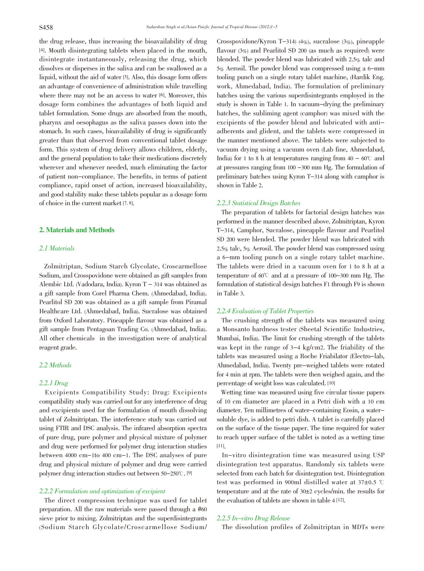the drug release, thus increasing the bioavailability of drug [4]. Mouth disintegrating tablets when placed in the mouth, disintegrate instantaneously, releasing the drug, which dissolves or disperses in the saliva and can be swallowed as a liquid, without the aid of water [5]. Also, this dosage form offers an advantage of convenience of administration while travelling where there may not be an access to water [6]. Moreover, this dosage form combines the advantages of both liquid and tablet formulation. Some drugs are absorbed from the mouth, pharynx and oesophagus as the saliva passes down into the stomach. In such cases, bioavailability of drug is significantly greater than that observed from conventional tablet dosage form. This system of drug delivery allows children, elderly, and the general population to take their medications discretely wherever and whenever needed, much eliminating the factor of patient non-compliance. The benefits, in terms of patient compliance, rapid onset of action, increased bioavailability, and good stability make these tablets popular as a dosage form of choice in the current market [7, 8].

## 2. Materials and Methods

# 2.1 Materials

Zolmitriptan, Sodium Starch Glycolate, Croscarmellose Sodium, and Crosspovidone were obtained as gift samples from Alembic Ltd. (Vadodara, India). Kyron T - 314 was obtained as a gift sample from Corel Pharma Chem. (Ahmedabad, India). Pearlitol SD 200 was obtained as a gift sample from Piramal Healthcare Ltd. (Ahmedabad, India). Sucralose was obtained from Oxford Laboratory. Pineapple flavour was obtained as a gift sample from Pentagoan Trading Co. (Ahmedabad, India). All other chemicals in the investigation were of analytical reagent grade.

# 2.2 Methods

## 2.2.1 Drug

Excipients Compatibility Study: Drug: Excipients compatibility study was carried out for any interference of drug and excipients used for the formulation of mouth dissolving tablet of Zolmitriptan. The interference study was carried out using FTIR and DSC analysis. The infrared absorption spectra of pure drug, pure polymer and physical mixture of polymer and drug were performed for polymer drug interaction studies between 4000 cm-1to 400 cm-1. The DSC analyses of pure drug and physical mixture of polymer and drug were carried polymer drug interaction studies out between 50-250°C. [9]

# 2.2.2 Formulation and optimization of excipient

The direct compression technique was used for tablet preparation. All the raw materials were passed through a #60 sieve prior to mixing. Zolmitriptan and the superdisintegrants (Sodium Starch Glycolate/Croscarmellose Sodium/ Crosspovidone/Kyron T-314) (4%), sucralose (3%), pineapple flavour (3%) and Pearlitol SD 200 (as much as required) were blended. The powder blend was lubricated with 2.5% talc and 5% Aerosil. The powder blend was compressed using a 6-mm tooling punch on a single rotary tablet machine, (Hardik Eng. work, Ahmedabad, India). The formulation of preliminary batches using the various superdisintegrants employed in the study is shown in Table 1. In vacuum-drying the preliminary batches, the subliming agent (camphor) was mixed with the excipients of the powder blend and lubricated with antiadherents and glident, and the tablets were compressed in the manner mentioned above. The tablets were subjected to vacuum drying using a vacuum oven (Lab fine, Ahmedabad, India) for 1 to 8 h at temperatures ranging from  $40 - 60^{\circ}$  and at pressures ranging from 100 -300 mm Hg. The formulation of preliminary batches using Kyron T-314 along with camphor is shown in Table 2.

# 2.2.3 Statistical Design Batches

The preparation of tablets for factorial design batches was performed in the manner described above. Zolmitriptan, Kyron T-314, Camphor, Sucralose, pineapple flavour and Pearlitol SD 200 were blended. The powder blend was lubricated with 2.5% talc, 5% Aerosil. The powder blend was compressed using a 6-mm tooling punch on a single rotary tablet machine. The tablets were dried in a vacuum oven for 1 to 8 h at a temperature of  $60^{\circ}$  and at a pressure of 100-300 mm Hg. The formulation of statistical design batches F1 through F9 is shown in Table 3.

## 2.2.4 Evaluation of Tablet Properties

The crushing strength of the tablets was measured using a Monsanto hardness tester (Sheetal Scientific Industries, Mumbai, India). The limit for crushing strength of the tablets was kept in the range of 3-4 kg/cm2. The friability of the tablets was measured using a Roche Friabilator (Electro-lab, Ahmedabad, India). Twenty pre-weighed tablets were rotated for 4 min at rpm. The tablets were then weighed again, and the percentage of weight loss was calculated. [10]

Wetting time was measured using five circular tissue papers of 10 cm diameter are placed in a Petri dish with a 10 cm diameter. Ten millimetres of water-containing Eosin, a watersoluble dye, is added to petri dish. A tablet is carefully placed on the surface of the tissue paper. The time required for water to reach upper surface of the tablet is noted as a wetting time [11].

In-vitro disintegration time was measured using USP disintegration test apparatus. Randomly six tablets were selected from each batch for disintegration test. Disintegration test was performed in 900ml distilled water at  $37\pm0.5$  °C temperature and at the rate of  $30±2$  cycles/min. the results for the evaluation of tablets are shown in table 4 [12].

# 2.2.5 In-vitro Drug Release

The dissolution profiles of Zolmitriptan in MDTs were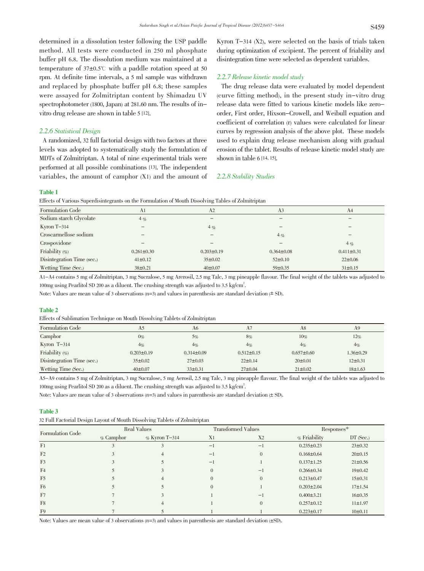determined in a dissolution tester following the USP paddle method. All tests were conducted in 250 ml phosphate buffer pH 6.8. The dissolution medium was maintained at a temperature of  $37\pm0.5^\circ$  with a paddle rotation speed at 50 rpm. At definite time intervals, a 5 ml sample was withdrawn and replaced by phosphate buffer pH 6.8; these samples were assayed for Zolmitriptan content by Shimadzu UV spectrophotometer (1800, Japan) at 281.60 nm. The results of invitro drug release are shown in table 5 [12].

## 2.2.6 Statistical Design

A randomized, 32 full factorial design with two factors at three levels was adopted to systematically study the formulation of MDTs of Zolmitriptan. A total of nine experimental trials were performed at all possible combinations [13]. The independent variables, the amount of camphor (X1) and the amount of Kyron T-314 (X2), were selected on the basis of trials taken during optimization of excipient. The percent of friability and disintegration time were selected as dependent variables.

# 2.2.7 Release kinetic model study

The drug release data were evaluated by model dependent (curve fitting method), in the present study in-vitro drug release data were fitted to various kinetic models like zeroorder, First order, Hixson-Crowell, and Weibull equation and coefficient of correlation (r) values were calculated for linear curves by regression analysis of the above plot. These models used to explain drug release mechanism along with gradual erosion of the tablet. Results of release kinetic model study are shown in table  $6$  [14, 15].

#### 2.2.8 Stability Studies

## Table 1

Effects of Various Superdisintegrants on the Formulation of Mouth Dissolving Tables of Zolmitriptan

| Formulation Code           | A1                       | A2                           | A <sub>3</sub>               | A <sub>4</sub>   |
|----------------------------|--------------------------|------------------------------|------------------------------|------------------|
| Sodium starch Glycolate    | $4\%$                    |                              |                              | —                |
| Kyron T-314                | $\overline{\phantom{m}}$ | $4\%$                        | $\hspace{0.05cm}$            | -                |
| Croscarmellose sodium      |                          | $\qquad \qquad \blacksquare$ | $4\%$                        |                  |
| Crospovidone               |                          |                              | $\qquad \qquad \blacksquare$ | $4\%$            |
| Friability $(\% )$         | $0.261 \pm 0.30$         | $0.203 \pm 0.19$             | $0.364 \pm 0.08$             | $0.411 \pm 0.31$ |
| Disintegration Time (sec.) | $41 \pm 0.12$            | $35 \pm 0.02$                | $52 \pm 0.10$                | $22 \pm 0.06$    |
| Wetting Time (Sec.)        | 38±0.21                  | $40\pm0.07$                  | $59 \pm 0.35$                | $31 \pm 0.15$    |
|                            |                          |                              |                              |                  |

A1-A4 contains 5 mg of Zolmitriptan, 3 mg Sucralose, 5 mg Arerosil, 2.5 mg Talc, 3 mg pineapple flavour. The final weight of the tablets was adjusted to 100mg using Pearlitol SD 200 as a diluent. The crushing strength was adjusted to 3.5 kg/cm<sup>2</sup>.

Note: Values are mean value of 3 observations  $(n=3)$  and values in parenthesis are standard deviation  $(\pm S)$ .

#### Table 2

Effects of Sublimation Technique on Mouth Dissolving Tablets of Zolmitriptan

| Formulation Code           | A5               | A6               | A7               | A8               | A9              |
|----------------------------|------------------|------------------|------------------|------------------|-----------------|
| Camphor                    | $0\%$            | 5%               | 8%               | $10\%$           | 12%             |
| Kyron $T-314$              | $4\%$            | $4\%$            | $4\%$            | $4\%$            | $4\%$           |
| Friability $(\% )$         | $0.203 \pm 0.19$ | $0.314 \pm 0.09$ | $0.512 \pm 0.15$ | $0.657 \pm 0.60$ | $1.36 \pm 0.29$ |
| Disintegration Time (sec.) | $35\pm0.02$      | $27 \pm 0.03$    | $22 \pm 0.14$    | $20 \pm 0.01$    | $12\pm0.31$     |
| Wetting Time (Sec.)        | $40\pm0.07$      | $33\pm0.31$      | $27 \pm 0.04$    | $21 \pm 0.02$    | 18±1.63         |

A5-A9 contains 5 mg of Zolmitriptan, 3 mg Sucralose, 5 mg Aerosil, 2.5 mg Talc, 3 mg pineapple flavour. The final weight of the tablets was adjusted to 100mg using Pearlitol SD 200 as a diluent. The crushing strength was adjusted to 3.5 kg/cm<sup>2</sup>.

Note: Values are mean value of 3 observations  $(n=3)$  and values in parenthesis are standard deviation  $(\pm 5D)$ .

#### Table 3

| 32 Full Factorial Design Layout of Mouth Dissolving Tablets of Zolmitriptan |
|-----------------------------------------------------------------------------|
|-----------------------------------------------------------------------------|

|                         | $\sim$       | $\sim$           |                |                           |                  |               |
|-------------------------|--------------|------------------|----------------|---------------------------|------------------|---------------|
| <b>Formulation Code</b> |              | Real Values      |                | <b>Transformed Values</b> | Responses*       |               |
|                         | $\%$ Camphor | $\%$ Kyron T-314 | X <sub>1</sub> | X <sub>2</sub>            | $\%$ Friability  | $DT$ (Sec.)   |
| F <sub>1</sub>          |              |                  | $-1$           | $-1$                      | $0.235 \pm 0.23$ | $23 \pm 0.32$ |
| F <sub>2</sub>          |              |                  | ÷1             | 0                         | $0.168 \pm 0.64$ | $20 \pm 0.15$ |
| F <sub>3</sub>          |              |                  | -1             |                           | $0.137 \pm 1.25$ | $21 \pm 0.56$ |
| F <sub>4</sub>          |              |                  | $\Omega$       | $-1$                      | $0.266 \pm 0.34$ | 19±0.42       |
| F <sub>5</sub>          |              |                  |                | $\theta$                  | $0.213 \pm 0.47$ | 15±0.31       |
| F <sub>6</sub>          |              |                  |                |                           | $0.203 \pm 2.04$ | $17 \pm 1.54$ |
| F7                      |              |                  |                | $\overline{\phantom{0}}$  | $0.400 \pm 3.21$ | 16±0.35       |
| F8                      |              |                  |                | $\theta$                  | $0.257 \pm 0.12$ | 11±1.97       |
| F <sub>9</sub>          |              |                  |                |                           | $0.223 \pm 0.17$ | 10±0.11       |

Note: Values are mean value of 3 observations  $(n=3)$  and values in parenthesis are standard deviation ( $\pm$ SD).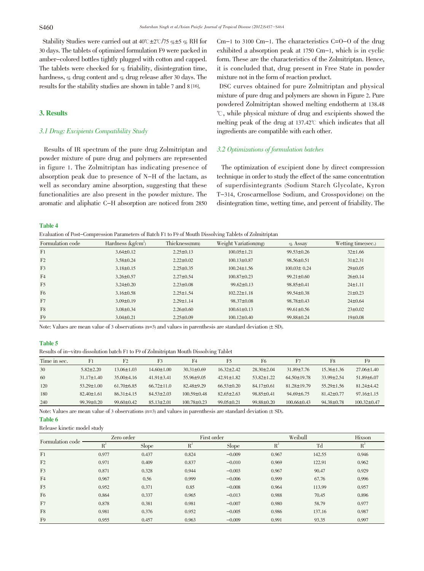Stability Studies were carried out at  $40^{\circ}$ C $\pm$ 2 $\circ$ /75 % $\pm$ 5 % RH for 30 days. The tablets of optimized formulation F9 were packed in amber-colored bottles tightly plugged with cotton and capped. The tablets were checked for  $\mathcal{C}_b$  friability, disintegration time, hardness, % drug content and % drug release after 30 days. The results for the stability studies are shown in table 7 and 8 [16].

# 3. Results

# 3.1 Drug: Excipients Compatibility Study

Results of IR spectrum of the pure drug Zolmitriptan and powder mixture of pure drug and polymers are represented in figure 1. The Zolmitriptan has indicating presence of absorption peak due to presence of N-H of the lactam, as well as secondary amine absorption, suggesting that these functionalities are also present in the powder mixture. The aromatic and aliphatic C-H absorption are noticed from 2850 Cm-1 to 3100 Cm-1. The characteristics C=O-O of the drug exhibited a absorption peak at 1750 Cm-1, which is in cyclic form. These are the characteristics of the Zolmitriptan. Hence, it is concluded that, drug present in Free State in powder mixture not in the form of reaction product.

DSC curves obtained for pure Zolmitriptan and physical mixture of pure drug and polymers are shown in Figure 2. Pure powdered Zolmitriptan showed melting endotherm at 138.48 曟, while physical mixture of drug and excipients showed the melting peak of the drug at  $137.42^{\circ}$  which indicates that all ingredients are compatible with each other.

# 3.2 Optimizations of formulation batches

The optimization of excipient done by direct compression technique in order to study the effect of the same concentration of superdisintegrants (Sodium Starch Glycolate, Kyron T-314, Croscarmellose Sodium, and Crosspovidone) on the disintegration time, wetting time, and percent of friability. The

## Table 4

Evaluation of Post-Compression Parameters of Batch F1 to F9 of Mouth Dissolving Tablets of Zolmitriptan

| Formulation code | Hardness $(kg/cm^2)$ | Thickness(mm)   | Weight Variation(mg) | $\%$ Assay        | Wetting time(sec.) |
|------------------|----------------------|-----------------|----------------------|-------------------|--------------------|
| F <sub>1</sub>   | $3.64 \pm 0.12$      | $2.25 \pm 0.13$ | $100.05 \pm 1.21$    | $99.53 \pm 0.26$  | $32 \pm 1.66$      |
| F <sub>2</sub>   | $3.58 \pm 0.24$      | $2.22 \pm 0.02$ | $100.13 \pm 0.87$    | $98.56 \pm 0.51$  | $31\pm2.31$        |
| F <sub>3</sub>   | $3.18 \pm 0.15$      | $2.25 \pm 0.35$ | $100.24 \pm 1.56$    | $100.03 \pm 0.24$ | $29 \pm 0.05$      |
| F <sub>4</sub>   | $3.26 \pm 0.57$      | $2.27 \pm 0.54$ | $100.87 \pm 0.23$    | $99.21 \pm 0.60$  | $26 \pm 0.14$      |
| F <sub>5</sub>   | $3.24 \pm 0.20$      | $2.23 \pm 0.08$ | $99.62 \pm 0.13$     | $98.85 \pm 0.41$  | $24 \pm 1.11$      |
| F <sub>6</sub>   | $3.16 \pm 0.58$      | $2.25 \pm 1.54$ | $102.22 \pm 1.18$    | $99.54 \pm 0.38$  | $21 \pm 0.23$      |
| F7               | $3.09 \pm 0.19$      | $2.29 \pm 1.14$ | $98.37 \pm 0.08$     | $98.78 \pm 0.43$  | $24 \pm 0.64$      |
| F8               | $3.08 \pm 0.34$      | $2.26 \pm 0.60$ | $100.61 \pm 0.13$    | $99.61 \pm 0.56$  | $23 \pm 0.02$      |
| F <sub>9</sub>   | $3.04 \pm 0.21$      | $2.25 \pm 0.09$ | $100.12 \pm 0.40$    | 99.88±0.24        | 19±0.08            |

Note: Values are mean value of <sup>3</sup> observations (n=3) and values in parenthesis are standard deviation (± SD).

#### Table 5

Results of in-vitro dissolution batch F1 to F9 of Zolmitriptan Mouth Dissolving Tablet

| Time in sec. |                  | F <sub>2</sub>   | F3               | F <sub>4</sub>    | F5               | F <sub>6</sub>   | F7                | F8               | F9                |
|--------------|------------------|------------------|------------------|-------------------|------------------|------------------|-------------------|------------------|-------------------|
| 30           | $5.82 \pm 2.20$  | $13.06 \pm 1.03$ | $14.60 \pm 1.00$ | $30.31 \pm 0.69$  | $16.32 \pm 2.42$ | $28.30 \pm 2.04$ | $31.89 \pm 7.76$  | $15.36 \pm 1.36$ | $27.06 \pm 1.40$  |
| 60           | $31.17 \pm 1.40$ | $35.00\pm4.16$   | $41.91 \pm 3.41$ | $55.96 \pm 9.05$  | $42.91 \pm 1.82$ | $53.82 \pm 1.22$ | $64.50 \pm 19.78$ | $33.99 \pm 2.54$ | $51.89 \pm 6.07$  |
| 120          | $53.29 \pm 1.00$ | $61.70\pm 6.85$  | $66.72 \pm 11.0$ | $82.48 + 9.29$    | $66.53 \pm 0.20$ | $84.17 \pm 0.61$ | $81.28 \pm 19.79$ | $55.29 \pm 1.56$ | $81.24 \pm 4.42$  |
| 180          | $82.40 \pm 1.61$ | $86.31 \pm 4.15$ | $84.53 \pm 2.03$ | $100.59 \pm 0.48$ | $82.65 \pm 2.63$ | $98.85 \pm 0.41$ | $94.69\pm 6.75$   | $81.42 \pm 0.77$ | $97.16 \pm 1.15$  |
| 240          | $99.39 \pm 0.20$ | $99.60 \pm 0.42$ | $85.13 \pm 2.01$ | $100.78 \pm 0.23$ | $99.05 \pm 0.21$ | $99.88 \pm 0.20$ | $100.66 \pm 0.43$ | $94.38 \pm 0.78$ | $100.32 \pm 0.47$ |

Note: Values are mean value of 3 observations  $(n=3)$  and values in parenthesis are standard deviation  $(\pm 5D)$ .

#### Table 6

Release kinetic model study

| Formulation code | Zero order |       |       | First order  |       | Weibull |       |
|------------------|------------|-------|-------|--------------|-------|---------|-------|
|                  | $R^2$      | Slope | $R^2$ | <b>Slope</b> | $R^2$ | Td      | $R^2$ |
| F <sub>1</sub>   | 0.977      | 0.437 | 0.824 | $-0.009$     | 0.967 | 142.55  | 0.946 |
| F <sub>2</sub>   | 0.971      | 0.409 | 0.837 | $-0.010$     | 0.969 | 122.91  | 0.962 |
| F <sub>3</sub>   | 0.871      | 0.328 | 0.944 | $-0.003$     | 0.967 | 90.47   | 0.929 |
| F <sub>4</sub>   | 0.967      | 0.56  | 0.999 | $-0.006$     | 0.999 | 67.76   | 0.996 |
| F <sub>5</sub>   | 0.952      | 0.371 | 0.85  | $-0.008$     | 0.964 | 113.99  | 0.957 |
| F <sub>6</sub>   | 0.864      | 0.337 | 0.965 | $-0.013$     | 0.988 | 70.45   | 0.896 |
| F7               | 0.878      | 0.381 | 0.981 | $-0.007$     | 0.980 | 58.79   | 0.977 |
| F8               | 0.981      | 0.376 | 0.952 | $-0.005$     | 0.986 | 137.16  | 0.987 |
| F <sub>9</sub>   | 0.955      | 0.457 | 0.963 | $-0.009$     | 0.991 | 93.35   | 0.997 |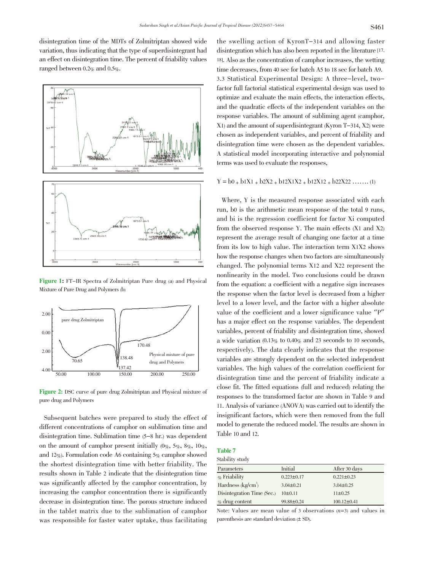disintegration time of the MDTs of Zolmitriptan showed wide variation, thus indicating that the type of superdisintegrant had an effect on disintegration time. The percent of friability values ranged between  $0.2\%$  and  $0.5\%$ .



Figure 1: FT-IR Spectra of Zolmitriptan Pure drug (a) and Physical Mixture of Pure Drug and Polymers (b)



Figure 2: DSC curve of pure drug Zolmitriptan and Physical mixture of pure drug and Polymers

Subsequent batches were prepared to study the effect of different concentrations of camphor on sublimation time and disintegration time. Sublimation time (5-8 hr.) was dependent on the amount of camphor present initially  $(0\%, 5\%, 8\%, 10\%$ , and 12%). Formulation code A6 containing  $5\%$  camphor showed the shortest disintegration time with better friability. The results shown in Table 2 indicate that the disintegration time was significantly affected by the camphor concentration, by increasing the camphor concentration there is significantly decrease in disintegration time. The porous structure induced in the tablet matrix due to the sublimation of camphor was responsible for faster water uptake, thus facilitating

the swelling action of KyronT-314 and allowing faster disintegration which has also been reported in the literature [17, 18]. Also as the concentration of camphor increases, the wetting time decreases, from 40 sec for batch A5 to 18 sec for batch A9. 3.3 Statistical Experimental Design: A three-level, twofactor full factorial statistical experimental design was used to optimize and evaluate the main effects, the interaction effects, and the quadratic effects of the independent variables on the response variables. The amount of subliming agent (camphor, X1) and the amount of superdisintegrant (Kyron T-314, X2) were chosen as independent variables, and percent of friability and disintegration time were chosen as the dependent variables. A statistical model incorporating interactive and polynomial terms was used to evaluate the responses,

# $Y = b0 + b1X1 + b2X2 + b12X1X2 + b12X12 + b22X22$  ……. (1)

Where, Y is the measured response associated with each run, b0 is the arithmetic mean response of the total 9 runs, and bi is the regression coefficient for factor Xi computed from the observed response Y. The main effects (X1 and X2) represent the average result of changing one factor at a time from its low to high value. The interaction term X1X2 shows how the response changes when two factors are simultaneously changed. The polynomial terms X12 and X22 represent the nonlinearity in the model. Two conclusions could be drawn from the equation: a coefficient with a negative sign increases the response when the factor level is decreased from a higher level to a lower level, and the factor with a higher absolute value of the coefficient and a lower significance value "P" has a major effect on the response variables. The dependent variables, percent of friability and disintegration time, showed a wide variation  $(0.13\%$  to  $0.40\%$  and 23 seconds to 10 seconds, respectively). The data clearly indicates that the response variables are strongly dependent on the selected independent variables. The high values of the correlation coefficient for disintegration time and the percent of friability indicate a close fit. The fitted equations (full and reduced) relating the responses to the transformed factor are shown in Table 9 and 11. Analysis of variance (ANOVA) was carried out to identify the insignificant factors, which were then removed from the full model to generate the reduced model. The results are shown in Table 10 and 12.

# Table 7

| Stability study |  |  |  |
|-----------------|--|--|--|
|                 |  |  |  |

| Initial          | After 30 days     |
|------------------|-------------------|
| $0.223 \pm 0.17$ | $0.221 \pm 0.23$  |
| $3.04 \pm 0.21$  | $3.04 \pm 0.25$   |
| $10\pm 0.11$     | $11\pm0.25$       |
| 99.88±0.24       | $100.12 \pm 0.41$ |
|                  |                   |

Note: Values are mean value of 3 observations  $(n=3)$  and values in parenthesis are standard deviation (± SD).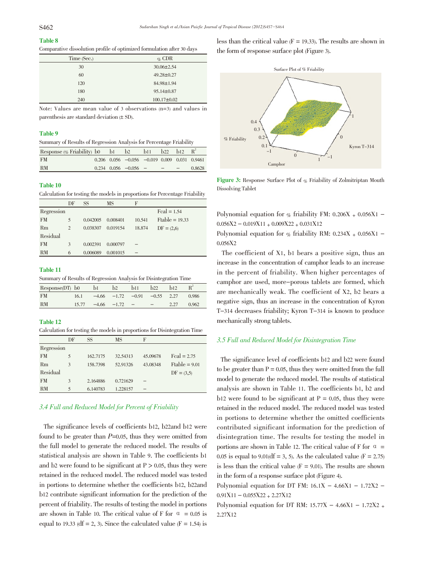# Table 8

Comparative dissolution profile of optimized formulation after 30 days

| Time (Sec.) | $\%$ CDR          |
|-------------|-------------------|
| 30          | $30.06 \pm 2.54$  |
| 60          | $49.28 \pm 0.27$  |
| 120         | 84.98±1.94        |
| 180         | $95.14 \pm 0.87$  |
| 240         | $100.17 \pm 0.02$ |

Note: Values are mean value of 3 observations (n=3) and values in parenthesis are standard deviation (± SD).

#### Table 9

| Summary of Results of Regression Analysis for Percentage Friability |
|---------------------------------------------------------------------|
|---------------------------------------------------------------------|

| Response $(\%$ Friability) b0 b1 b2 b11 |  |                                                            | b22 | h12 |        |
|-----------------------------------------|--|------------------------------------------------------------|-----|-----|--------|
| <b>FM</b>                               |  | $0.206$ $0.056$ $-0.056$ $-0.019$ $0.009$ $0.031$ $0.9461$ |     |     |        |
| RM                                      |  | $0.234$ $0.056$ $-0.056$ $ -$                              |     |     | 0.8628 |

#### Table 10

Calculation for testing the models in proportions for Percentage Friability

|            | DF             | SS       | MS       | F      |                                      |
|------------|----------------|----------|----------|--------|--------------------------------------|
| Regression |                |          |          |        | $\text{Feal} = 1.54$                 |
| <b>FM</b>  | 5              | 0.042005 | 0.008401 | 10.541 | $ \mathbf{F} \mathbf{table} = 19.33$ |
| Rm         | $\overline{c}$ | 0.038307 | 0.019154 | 18.874 | $DF = (2,6)$                         |
| Residual   |                |          |          |        |                                      |
| <b>FM</b>  | 3              | 0.002391 | 0.000797 |        |                                      |
| <b>RM</b>  | 6              | 0.006089 | 0.001015 |        |                                      |

#### Table 11

Summary of Results of Regression Analysis for Disintegration Time

| Response(DT) b0 |       | b1              | b2 | b11                                  | b22 | h12  |       |
|-----------------|-------|-----------------|----|--------------------------------------|-----|------|-------|
| <b>FM</b>       | 16.1  |                 |    | $-4.66$ $-1.72$ $-0.91$ $-0.55$ 2.27 |     |      | 0.986 |
| <b>RM</b>       | 15.77 | $-4.66$ $-1.72$ |    |                                      |     | 2.27 | 0.962 |

# Table 12

Calculation for testing the models in proportions for Disintegration Time

|            | DF | SS       | MS       | F        |                           |
|------------|----|----------|----------|----------|---------------------------|
| Regression |    |          |          |          |                           |
| <b>FM</b>  | 5  | 162,7175 | 32.54313 | 45.09678 | $\text{Feal} = 2.75$      |
| Rm         | 3  | 158.7398 | 52.91326 | 43.08348 | $ \mathsf{Ftable} = 9.01$ |
| Residual   |    |          |          |          | $DF = (3,5)$              |
| <b>FM</b>  | 3  | 2.164886 | 0.721629 |          |                           |
| <b>RM</b>  | 5  | 6.140783 | 1.228157 |          |                           |

# 3.4 Full and Reduced Model for Percent of Friability

The significance levels of coefficients b12, b22and b12 were found to be greater than  $P=0.05$ , thus they were omitted from the full model to generate the reduced model. The results of statistical analysis are shown in Table 9. The coefficients b1 and b2 were found to be significant at  $P > 0.05$ , thus they were retained in the reduced model. The reduced model was tested in portions to determine whether the coefficients b12, b22and b12 contribute significant information for the prediction of the percent of friability. The results of testing the model in portions are shown in Table 10. The critical value of F for  $\alpha = 0.05$  is equal to 19.33 (df = 2, 3). Since the calculated value ( $F = 1.54$ ) is

less than the critical value  $(F = 19.33)$ . The results are shown in the form of response surface plot (Figure 3).



Figure 3: Response Surface Plot of % Friability of Zolmitriptan Mouth Dissolving Tablet

Polynomial equation for % friability FM:  $0.206X + 0.056X1$  - $0.056X2 - 0.019X11 + 0.009X22 + 0.031X12$ 

Polynomial equation for  $\%$  friability RM: 0.234X + 0.056X1 -0.056X2

The coefficient of X1, b1 bears a positive sign, thus an increase in the concentration of camphor leads to an increase in the percent of friability. When higher percentages of camphor are used, more-porous tablets are formed, which are mechanically weak. The coefficient of X2, b2 bears a negative sign, thus an increase in the concentration of Kyron T-314 decreases friability; Kyron T-314 is known to produce mechanically strong tablets.

## 3.5 Full and Reduced Model for Disintegration Time

The significance level of coefficients b12 and b22 were found to be greater than  $P = 0.05$ , thus they were omitted from the full model to generate the reduced model. The results of statistical analysis are shown in Table 11. The coefficients b1, b2 and b12 were found to be significant at  $P = 0.05$ , thus they were retained in the reduced model. The reduced model was tested in portions to determine whether the omitted coefficients contributed significant information for the prediction of disintegration time. The results for testing the model in portions are shown in Table 12. The critical value of F for  $\alpha$  = 0.05 is equal to 9.01(df = 3, 5). As the calculated value ( $F = 2.75$ ) is less than the critical value  $(F = 9.01)$ . The results are shown in the form of a response surface plot (Figure 4).

Polynomial equation for DT FM:  $16.1X - 4.66X1 - 1.72X2 - 1$  $0.91X11 - 0.055X22 + 2.27X12$ 

Polynomial equation for DT RM:  $15.77X - 4.66X1 - 1.72X2 +$ 2.27X12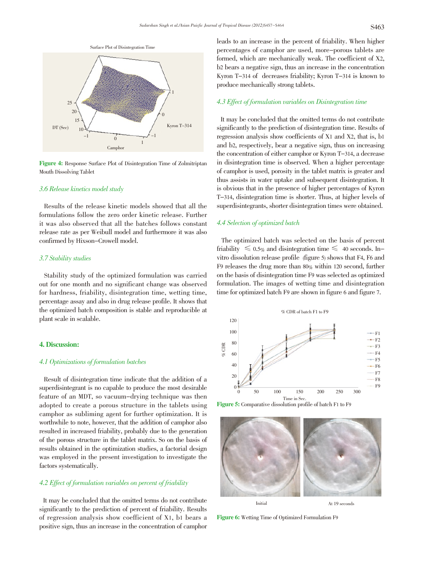

Figure 4: Response Surface Plot of Disintegration Time of Zolmitriptan Mouth Dissolving Tablet

## 3.6 Release kinetics model study

Results of the release kinetic models showed that all the formulations follow the zero order kinetic release. Further it was also observed that all the batches follows constant release rate as per Weibull model and furthermore it was also confirmed by Hixson-Crowell model.

## 3.7 Stability studies

Stability study of the optimized formulation was carried out for one month and no significant change was observed for hardness, friability, disintegration time, wetting time, percentage assay and also in drug release profile. It shows that the optimized batch composition is stable and reproducible at plant scale in scalable.

## 4. Discussion:

### 4.1 Optimizations of formulation batches

Result of disintegration time indicate that the addition of a superdisintegrant is no capable to produce the most desirable feature of an MDT, so vacuum-drying technique was then adopted to create a porous structure in the tablets using camphor as subliming agent for further optimization. It is worthwhile to note, however, that the addition of camphor also resulted in increased friability, probably due to the generation of the porous structure in the tablet matrix. So on the basis of results obtained in the optimization studies, a factorial design was employed in the present investigation to investigate the factors systematically.

# 4.2 Effect of formulation variables on percent of friability

It may be concluded that the omitted terms do not contribute significantly to the prediction of percent of friability. Results of regression analysis show coefficient of X1, b1 bears a positive sign, thus an increase in the concentration of camphor leads to an increase in the percent of friability. When higher percentages of camphor are used, more-porous tablets are formed, which are mechanically weak. The coefficient of X2, b2 bears a negative sign, thus an increase in the concentration Kyron T-314 of decreases friability; Kyron T-314 is known to produce mechanically strong tablets.

# 4.3 Effect of formulation variables on Disintegration time

It may be concluded that the omitted terms do not contribute significantly to the prediction of disintegration time. Results of regression analysis show coefficients of X1 and X2, that is, b1 and b2, respectively, bear a negative sign, thus on increasing the concentration of either camphor or Kyron T-314, a decrease in disintegration time is observed. When a higher percentage of camphor is used, porosity in the tablet matrix is greater and thus assists in water uptake and subsequent disintegration. It is obvious that in the presence of higher percentages of Kyron T-314, disintegration time is shorter. Thus, at higher levels of superdisintegrants, shorter disintegration times were obtained.

## 4.4 Selection of optimized batch

The optimized batch was selected on the basis of percent friability  $\leq 0.5\%$  and disintegration time  $\leq 40$  seconds. Invitro dissolution release profile (figure 5) shows that F4, F6 and F9 releases the drug more than 80% within 120 second, further on the basis of disintegration time F9 was selected as optimized formulation. The images of wetting time and disintegration time for optimized batch F9 are shown in figure 6 and figure 7.



Figure 5: Comparative dissolution profile of batch F1 to F9



Figure 6: Wetting Time of Optimized Formulation F9